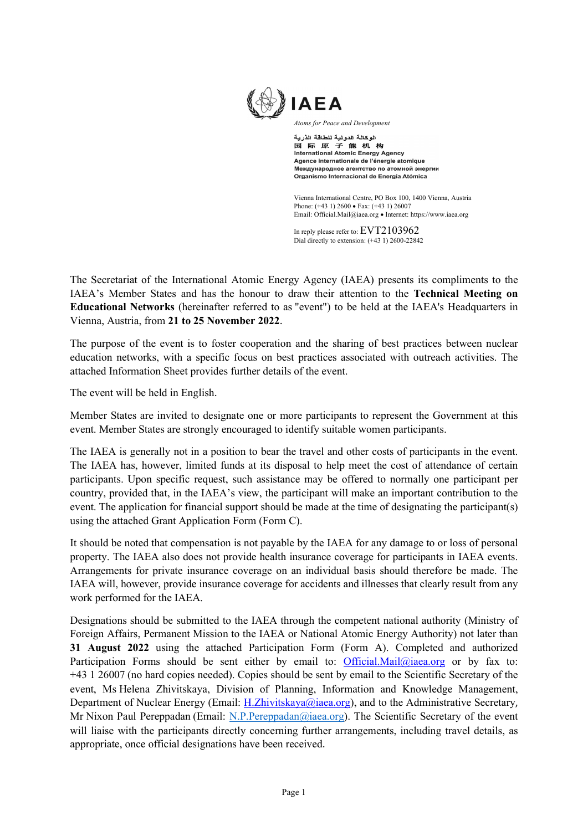

Atoms for Peace and Development

الوكالة الدولية للطاقة الذرية 国际原子能机构<br>国际原子能机构<br>International Atomic Energy Agency Agence internationale de l'énergie atomique Международное агентство по атомной энергии Organismo Internacional de Energía Atómica

Vienna International Centre, PO Box 100, 1400 Vienna, Austria Phone: (+43 1) 2600 • Fax: (+43 1) 26007 Email: Official.Mail@iaea.org Internet: https://www.iaea.org

In reply please refer to: EVT2103962 Dial directly to extension: (+43 1) 2600-22842

The Secretariat of the International Atomic Energy Agency (IAEA) presents its compliments to the IAEA's Member States and has the honour to draw their attention to the Technical Meeting on Educational Networks (hereinafter referred to as "event") to be held at the IAEA's Headquarters in Vienna, Austria, from 21 to 25 November 2022.

The purpose of the event is to foster cooperation and the sharing of best practices between nuclear education networks, with a specific focus on best practices associated with outreach activities. The attached Information Sheet provides further details of the event.

The event will be held in English.

Member States are invited to designate one or more participants to represent the Government at this event. Member States are strongly encouraged to identify suitable women participants.

The IAEA is generally not in a position to bear the travel and other costs of participants in the event. The IAEA has, however, limited funds at its disposal to help meet the cost of attendance of certain participants. Upon specific request, such assistance may be offered to normally one participant per country, provided that, in the IAEA's view, the participant will make an important contribution to the event. The application for financial support should be made at the time of designating the participant(s) using the attached Grant Application Form (Form C).

It should be noted that compensation is not payable by the IAEA for any damage to or loss of personal property. The IAEA also does not provide health insurance coverage for participants in IAEA events. Arrangements for private insurance coverage on an individual basis should therefore be made. The IAEA will, however, provide insurance coverage for accidents and illnesses that clearly result from any work performed for the IAEA.

Designations should be submitted to the IAEA through the competent national authority (Ministry of Foreign Affairs, Permanent Mission to the IAEA or National Atomic Energy Authority) not later than 31 August 2022 using the attached Participation Form (Form A). Completed and authorized Participation Forms should be sent either by email to: Official.Mail@iaea.org or by fax to: +43 1 26007 (no hard copies needed). Copies should be sent by email to the Scientific Secretary of the event, Ms Helena Zhivitskaya, Division of Planning, Information and Knowledge Management, Department of Nuclear Energy (Email: H.Zhivitskaya@iaea.org), and to the Administrative Secretary, Mr Nixon Paul Pereppadan (Email: N.P.Pereppadan@iaea.org). The Scientific Secretary of the event will liaise with the participants directly concerning further arrangements, including travel details, as appropriate, once official designations have been received.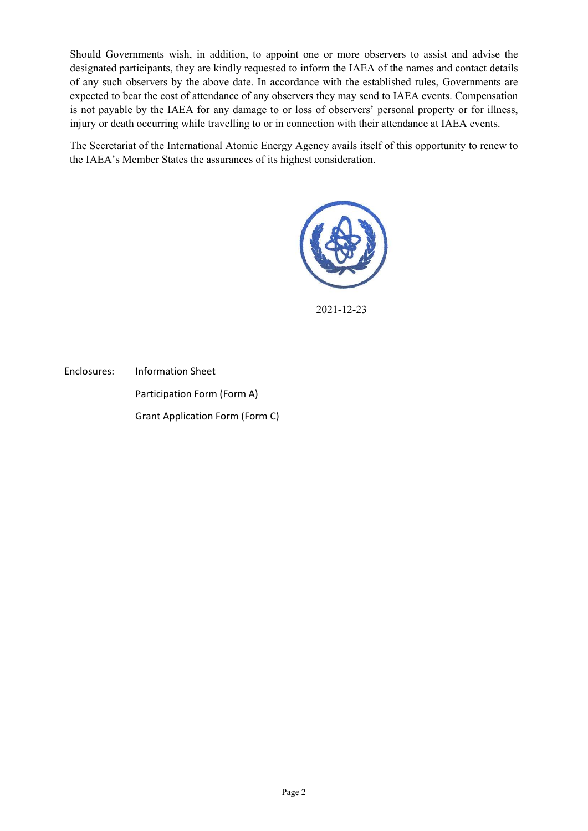Should Governments wish, in addition, to appoint one or more observers to assist and advise the designated participants, they are kindly requested to inform the IAEA of the names and contact details of any such observers by the above date. In accordance with the established rules, Governments are expected to bear the cost of attendance of any observers they may send to IAEA events. Compensation is not payable by the IAEA for any damage to or loss of observers' personal property or for illness, injury or death occurring while travelling to or in connection with their attendance at IAEA events.

The Secretariat of the International Atomic Energy Agency avails itself of this opportunity to renew to the IAEA's Member States the assurances of its highest consideration.



2021-12-23

Enclosures: Information Sheet Participation Form (Form A) Grant Application Form (Form C)